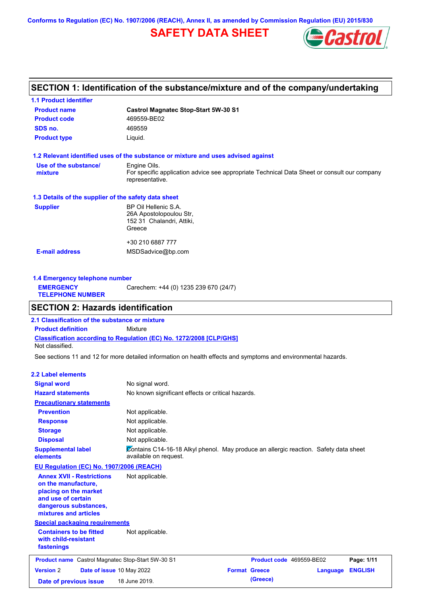**Conforms to Regulation (EC) No. 1907/2006 (REACH), Annex II, as amended by Commission Regulation (EU) 2015/830**

## **SAFETY DATA SHEET**



## **SECTION 1: Identification of the substance/mixture and of the company/undertaking**

| <b>1.1 Product identifier</b>                        |                                                                                                                |  |
|------------------------------------------------------|----------------------------------------------------------------------------------------------------------------|--|
| <b>Product name</b>                                  | <b>Castrol Magnatec Stop-Start 5W-30 S1</b>                                                                    |  |
| <b>Product code</b>                                  | 469559-BE02                                                                                                    |  |
| SDS no.                                              | 469559                                                                                                         |  |
| <b>Product type</b>                                  | Liquid.                                                                                                        |  |
|                                                      | 1.2 Relevant identified uses of the substance or mixture and uses advised against                              |  |
| Use of the substance/                                | Engine Oils.                                                                                                   |  |
| mixture                                              | For specific application advice see appropriate Technical Data Sheet or consult our company<br>representative. |  |
| 1.3 Details of the supplier of the safety data sheet |                                                                                                                |  |
| <b>Supplier</b>                                      | BP Oil Hellenic S.A.                                                                                           |  |
|                                                      | 26A Apostolopoulou Str,                                                                                        |  |
|                                                      | 152 31 Chalandri, Attiki,                                                                                      |  |
|                                                      |                                                                                                                |  |
|                                                      | Greece                                                                                                         |  |
|                                                      | +30 210 6887 777                                                                                               |  |

| Carechem: +44 (0) 1235 239 670 (24/7)<br><b>EMERGENCY</b><br><b>TELEPHONE NUMBER</b> | 1.4 Emergency telephone number |  |  |  |  |
|--------------------------------------------------------------------------------------|--------------------------------|--|--|--|--|
|                                                                                      |                                |  |  |  |  |

## **SECTION 2: Hazards identification**

**Classification according to Regulation (EC) No. 1272/2008 [CLP/GHS] 2.1 Classification of the substance or mixture Product definition** Mixture Not classified.

See sections 11 and 12 for more detailed information on health effects and symptoms and environmental hazards.

### **2.2 Label elements**

| <b>Signal word</b>                                                                                                                                       | No signal word.                                                                                               |                      |                          |          |                |
|----------------------------------------------------------------------------------------------------------------------------------------------------------|---------------------------------------------------------------------------------------------------------------|----------------------|--------------------------|----------|----------------|
| <b>Hazard statements</b>                                                                                                                                 | No known significant effects or critical hazards.                                                             |                      |                          |          |                |
| <b>Precautionary statements</b>                                                                                                                          |                                                                                                               |                      |                          |          |                |
| <b>Prevention</b>                                                                                                                                        | Not applicable.                                                                                               |                      |                          |          |                |
| <b>Response</b>                                                                                                                                          | Not applicable.                                                                                               |                      |                          |          |                |
| <b>Storage</b>                                                                                                                                           | Not applicable.                                                                                               |                      |                          |          |                |
| <b>Disposal</b>                                                                                                                                          | Not applicable.                                                                                               |                      |                          |          |                |
| <b>Supplemental label</b><br>elements                                                                                                                    | Contains C14-16-18 Alkyl phenol. May produce an allergic reaction. Safety data sheet<br>available on request. |                      |                          |          |                |
| EU Regulation (EC) No. 1907/2006 (REACH)                                                                                                                 |                                                                                                               |                      |                          |          |                |
| <b>Annex XVII - Restrictions</b><br>on the manufacture,<br>placing on the market<br>and use of certain<br>dangerous substances,<br>mixtures and articles | Not applicable.                                                                                               |                      |                          |          |                |
| <b>Special packaging requirements</b>                                                                                                                    |                                                                                                               |                      |                          |          |                |
| <b>Containers to be fitted</b><br>with child-resistant<br>fastenings                                                                                     | Not applicable.                                                                                               |                      |                          |          |                |
| <b>Product name</b> Castrol Magnatec Stop-Start 5W-30 S1                                                                                                 |                                                                                                               |                      | Product code 469559-BE02 |          | Page: 1/11     |
| <b>Version 2</b><br>Date of issue 10 May 2022                                                                                                            |                                                                                                               | <b>Format Greece</b> |                          | Language | <b>ENGLISH</b> |
| Date of previous issue                                                                                                                                   | 18 June 2019.                                                                                                 |                      | (Greece)                 |          |                |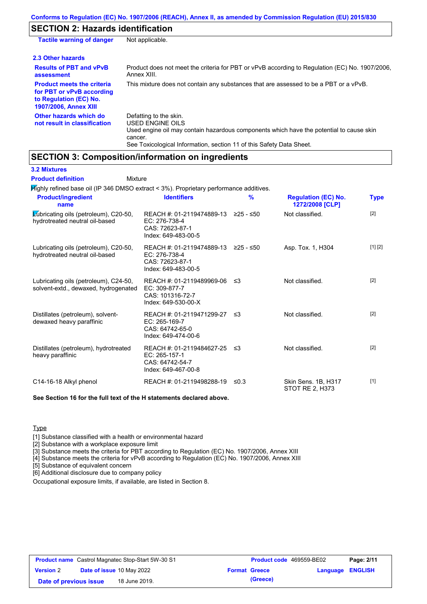### **SECTION 2: Hazards identification**

| <b>Tactile warning of danger</b>                                                                                         | Not applicable.                                                                                                                                                                                                          |
|--------------------------------------------------------------------------------------------------------------------------|--------------------------------------------------------------------------------------------------------------------------------------------------------------------------------------------------------------------------|
| 2.3 Other hazards                                                                                                        |                                                                                                                                                                                                                          |
| <b>Results of PBT and vPvB</b><br>assessment                                                                             | Product does not meet the criteria for PBT or vPvB according to Regulation (EC) No. 1907/2006,<br>Annex XIII.                                                                                                            |
| <b>Product meets the criteria</b><br>for PBT or vPvB according<br>to Regulation (EC) No.<br><b>1907/2006, Annex XIII</b> | This mixture does not contain any substances that are assessed to be a PBT or a vPvB.                                                                                                                                    |
| Other hazards which do<br>not result in classification                                                                   | Defatting to the skin.<br>USED ENGINE OILS<br>Used engine oil may contain hazardous components which have the potential to cause skin<br>cancer.<br>See Toxicological Information, section 11 of this Safety Data Sheet. |

### **SECTION 3: Composition/information on ingredients**

**3.2 Mixtures**

**Highly refined base oil (IP 346 DMSO extract < 3%). Proprietary performance additives.** Lubricating oils (petroleum), C20-50, hydrotreated neutral oil-based REACH #: 01-2119474889-13 EC: 276-738-4 CAS: 72623-87-1 Index: 649-483-00-5 Not classified. [2] Lubricating oils (petroleum), C20-50, hydrotreated neutral oil-based REACH #: 01-2119474889-13 EC: 276-738-4 CAS: 72623-87-1 Index: 649-483-00-5 Asp. Tox. 1, H304 [1] [2] Lubricating oils (petroleum), C24-50, solvent-extd., dewaxed, hydrogenated REACH #: 01-2119489969-06 EC: 309-877-7 CAS: 101316-72-7 Index: 649-530-00-X Not classified. [2] Distillates (petroleum), solventdewaxed heavy paraffinic REACH #: 01-2119471299-27 EC: 265-169-7 CAS: 64742-65-0 Index: 649-474-00-6 Not classified. [2] Distillates (petroleum), hydrotreated heavy paraffinic REACH #: 01-2119484627-25 EC: 265-157-1 CAS: 64742-54-7 Index: 649-467-00-8 Not classified. [2] C14-16-18 Alkyl phenol REACH #: 01-2119498288-19 ≤0.3 Skin Sens. 1B, H317 STOT RE 2, H373 [1] **See Section 16 for the full text of the H statements declared above. Product/ingredient name % Regulation (EC) No. Identifiers Type 1272/2008 [CLP] Mixture Product definition**

**Type** 

[1] Substance classified with a health or environmental hazard

[2] Substance with a workplace exposure limit

[3] Substance meets the criteria for PBT according to Regulation (EC) No. 1907/2006, Annex XIII

[4] Substance meets the criteria for vPvB according to Regulation (EC) No. 1907/2006, Annex XIII

[5] Substance of equivalent concern

[6] Additional disclosure due to company policy

Occupational exposure limits, if available, are listed in Section 8.

| <b>Product name</b> Castrol Magnatec Stop-Start 5W-30 S1 |  | <b>Product code</b> 469559-BE02  |                      | Page: 2/11 |                         |  |
|----------------------------------------------------------|--|----------------------------------|----------------------|------------|-------------------------|--|
| <b>Version 2</b>                                         |  | <b>Date of issue 10 May 2022</b> | <b>Format Greece</b> |            | <b>Language ENGLISH</b> |  |
| Date of previous issue                                   |  | 18 June 2019.                    |                      | (Greece)   |                         |  |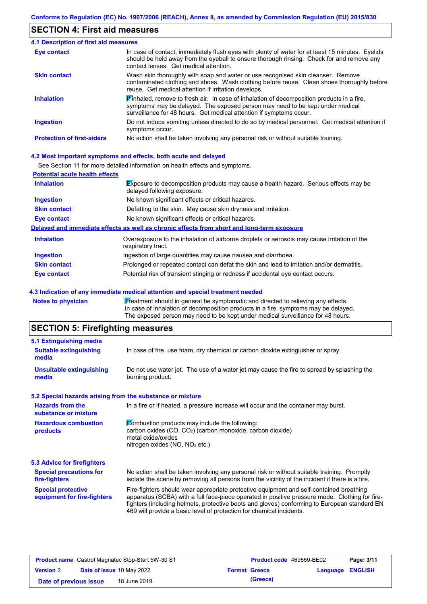## **SECTION 4: First aid measures**

| <b>4.1 Description of first aid measures</b> |                                                                                                                                                                                                                                                                         |
|----------------------------------------------|-------------------------------------------------------------------------------------------------------------------------------------------------------------------------------------------------------------------------------------------------------------------------|
| <b>Eye contact</b>                           | In case of contact, immediately flush eyes with plenty of water for at least 15 minutes. Eyelids<br>should be held away from the eyeball to ensure thorough rinsing. Check for and remove any<br>contact lenses. Get medical attention.                                 |
| <b>Skin contact</b>                          | Wash skin thoroughly with soap and water or use recognised skin cleanser. Remove<br>contaminated clothing and shoes. Wash clothing before reuse. Clean shoes thoroughly before<br>reuse. Get medical attention if irritation develops.                                  |
| <b>Inhalation</b>                            | $\mathbf{\mathscr{F}}$ inhaled, remove to fresh air. In case of inhalation of decomposition products in a fire,<br>symptoms may be delayed. The exposed person may need to be kept under medical<br>surveillance for 48 hours. Get medical attention if symptoms occur. |
| <b>Ingestion</b>                             | Do not induce vomiting unless directed to do so by medical personnel. Get medical attention if<br>symptoms occur.                                                                                                                                                       |
| <b>Protection of first-aiders</b>            | No action shall be taken involving any personal risk or without suitable training.                                                                                                                                                                                      |

#### **4.2 Most important symptoms and effects, both acute and delayed**

See Section 11 for more detailed information on health effects and symptoms.

| <b>Potential acute health effects</b> |                                                                                                                            |
|---------------------------------------|----------------------------------------------------------------------------------------------------------------------------|
| <b>Inhalation</b>                     | <b>Exposure to decomposition products may cause a health hazard. Serious effects may be</b><br>delayed following exposure. |
| <b>Ingestion</b>                      | No known significant effects or critical hazards.                                                                          |
| <b>Skin contact</b>                   | Defatting to the skin. May cause skin dryness and irritation.                                                              |
| Eye contact                           | No known significant effects or critical hazards.                                                                          |
|                                       | Delayed and immediate effects as well as chronic effects from short and long-term exposure                                 |
| <b>Inhalation</b>                     | Overexposure to the inhalation of airborne droplets or aerosols may cause irritation of the<br>respiratory tract.          |
| <b>Ingestion</b>                      | Ingestion of large quantities may cause nausea and diarrhoea.                                                              |
| <b>Skin contact</b>                   | Prolonged or repeated contact can defat the skin and lead to irritation and/or dermatitis.                                 |
| Eye contact                           | Potential risk of transient stinging or redness if accidental eye contact occurs.                                          |

#### **4.3 Indication of any immediate medical attention and special treatment needed**

Notes to physician **Treatment should in general be symptomatic and directed to relieving any effects.** In case of inhalation of decomposition products in a fire, symptoms may be delayed. The exposed person may need to be kept under medical surveillance for 48 hours.

## **SECTION 5: Firefighting measures**

| 5.1 Extinguishing media                                   |                                                                                                                                                                                                                                                                                                                                                                   |  |
|-----------------------------------------------------------|-------------------------------------------------------------------------------------------------------------------------------------------------------------------------------------------------------------------------------------------------------------------------------------------------------------------------------------------------------------------|--|
| <b>Suitable extinguishing</b><br>media                    | In case of fire, use foam, dry chemical or carbon dioxide extinguisher or spray.                                                                                                                                                                                                                                                                                  |  |
| <b>Unsuitable extinguishing</b><br>media                  | Do not use water jet. The use of a water jet may cause the fire to spread by splashing the<br>burning product.                                                                                                                                                                                                                                                    |  |
| 5.2 Special hazards arising from the substance or mixture |                                                                                                                                                                                                                                                                                                                                                                   |  |
| <b>Hazards from the</b><br>substance or mixture           | In a fire or if heated, a pressure increase will occur and the container may burst.                                                                                                                                                                                                                                                                               |  |
| <b>Hazardous combustion</b><br>products                   | Combustion products may include the following:<br>carbon oxides (CO, CO <sub>2</sub> ) (carbon monoxide, carbon dioxide)<br>metal oxide/oxides<br>nitrogen oxides ( $NO$ , $NO2$ etc.)                                                                                                                                                                            |  |
| 5.3 Advice for firefighters                               |                                                                                                                                                                                                                                                                                                                                                                   |  |
| <b>Special precautions for</b><br>fire-fighters           | No action shall be taken involving any personal risk or without suitable training. Promptly<br>isolate the scene by removing all persons from the vicinity of the incident if there is a fire.                                                                                                                                                                    |  |
| <b>Special protective</b><br>equipment for fire-fighters  | Fire-fighters should wear appropriate protective equipment and self-contained breathing<br>apparatus (SCBA) with a full face-piece operated in positive pressure mode. Clothing for fire-<br>fighters (including helmets, protective boots and gloves) conforming to European standard EN<br>469 will provide a basic level of protection for chemical incidents. |  |

| <b>Product name</b> Castrol Magnatec Stop-Start 5W-30 S1 |  | <b>Product code</b> 469559-BE02  |  | Page: 3/11           |                         |  |
|----------------------------------------------------------|--|----------------------------------|--|----------------------|-------------------------|--|
| <b>Version 2</b>                                         |  | <b>Date of issue 10 May 2022</b> |  | <b>Format Greece</b> | <b>Language ENGLISH</b> |  |
| Date of previous issue                                   |  | 18 June 2019.                    |  | (Greece)             |                         |  |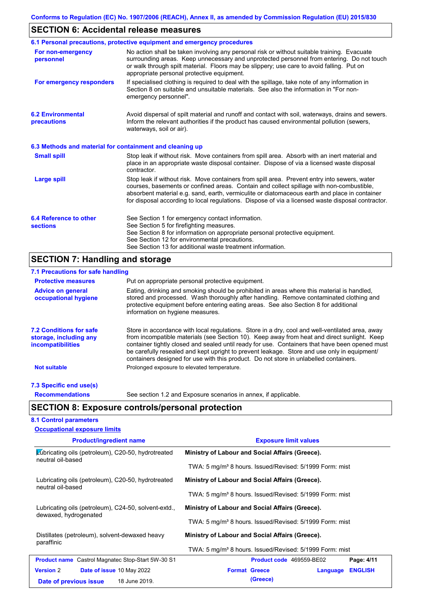## **SECTION 6: Accidental release measures**

|                                                          | 6.1 Personal precautions, protective equipment and emergency procedures                                                                                                                                                                                                                                                                                                                        |
|----------------------------------------------------------|------------------------------------------------------------------------------------------------------------------------------------------------------------------------------------------------------------------------------------------------------------------------------------------------------------------------------------------------------------------------------------------------|
| For non-emergency<br>personnel                           | No action shall be taken involving any personal risk or without suitable training. Evacuate<br>surrounding areas. Keep unnecessary and unprotected personnel from entering. Do not touch<br>or walk through spilt material. Floors may be slippery; use care to avoid falling. Put on<br>appropriate personal protective equipment.                                                            |
| For emergency responders                                 | If specialised clothing is required to deal with the spillage, take note of any information in<br>Section 8 on suitable and unsuitable materials. See also the information in "For non-<br>emergency personnel".                                                                                                                                                                               |
| <b>6.2 Environmental</b><br>precautions                  | Avoid dispersal of spilt material and runoff and contact with soil, waterways, drains and sewers.<br>Inform the relevant authorities if the product has caused environmental pollution (sewers,<br>waterways, soil or air).                                                                                                                                                                    |
| 6.3 Methods and material for containment and cleaning up |                                                                                                                                                                                                                                                                                                                                                                                                |
| <b>Small spill</b>                                       | Stop leak if without risk. Move containers from spill area. Absorb with an inert material and<br>place in an appropriate waste disposal container. Dispose of via a licensed waste disposal<br>contractor.                                                                                                                                                                                     |
| <b>Large spill</b>                                       | Stop leak if without risk. Move containers from spill area. Prevent entry into sewers, water<br>courses, basements or confined areas. Contain and collect spillage with non-combustible,<br>absorbent material e.g. sand, earth, vermiculite or diatomaceous earth and place in container<br>for disposal according to local regulations. Dispose of via a licensed waste disposal contractor. |
| 6.4 Reference to other<br><b>sections</b>                | See Section 1 for emergency contact information.<br>See Section 5 for firefighting measures.<br>See Section 8 for information on appropriate personal protective equipment.<br>See Section 12 for environmental precautions.<br>See Section 13 for additional waste treatment information.                                                                                                     |

# **SECTION 7: Handling and storage**

| 7.1 Precautions for safe handling                                                    |                                                                                                                                                                                                                                                                                                                                                                                                                                                                                          |
|--------------------------------------------------------------------------------------|------------------------------------------------------------------------------------------------------------------------------------------------------------------------------------------------------------------------------------------------------------------------------------------------------------------------------------------------------------------------------------------------------------------------------------------------------------------------------------------|
| <b>Protective measures</b>                                                           | Put on appropriate personal protective equipment.                                                                                                                                                                                                                                                                                                                                                                                                                                        |
| <b>Advice on general</b><br>occupational hygiene                                     | Eating, drinking and smoking should be prohibited in areas where this material is handled,<br>stored and processed. Wash thoroughly after handling. Remove contaminated clothing and<br>protective equipment before entering eating areas. See also Section 8 for additional<br>information on hygiene measures.                                                                                                                                                                         |
| <b>7.2 Conditions for safe</b><br>storage, including any<br><i>incompatibilities</i> | Store in accordance with local regulations. Store in a dry, cool and well-ventilated area, away<br>from incompatible materials (see Section 10). Keep away from heat and direct sunlight. Keep<br>container tightly closed and sealed until ready for use. Containers that have been opened must<br>be carefully resealed and kept upright to prevent leakage. Store and use only in equipment/<br>containers designed for use with this product. Do not store in unlabelled containers. |
| <b>Not suitable</b>                                                                  | Prolonged exposure to elevated temperature.                                                                                                                                                                                                                                                                                                                                                                                                                                              |
| 7.3 Specific end use(s)                                                              |                                                                                                                                                                                                                                                                                                                                                                                                                                                                                          |
| <b>Recommendations</b>                                                               | See section 1.2 and Exposure scenarios in annex, if applicable.                                                                                                                                                                                                                                                                                                                                                                                                                          |
|                                                                                      | <b>SECTION 8: Exposure controls/personal protection</b>                                                                                                                                                                                                                                                                                                                                                                                                                                  |

### **8.1 Control parameters**

| <b>Occupational exposure limits</b>                                           |                                                                     |  |  |
|-------------------------------------------------------------------------------|---------------------------------------------------------------------|--|--|
| <b>Product/ingredient name</b>                                                | <b>Exposure limit values</b>                                        |  |  |
| Lubricating oils (petroleum), C20-50, hydrotreated<br>neutral oil-based       | Ministry of Labour and Social Affairs (Greece).                     |  |  |
|                                                                               | TWA: 5 mg/m <sup>3</sup> 8 hours. Issued/Revised: 5/1999 Form: mist |  |  |
| Lubricating oils (petroleum), C20-50, hydrotreated<br>neutral oil-based       | Ministry of Labour and Social Affairs (Greece).                     |  |  |
|                                                                               | TWA: 5 mg/m <sup>3</sup> 8 hours. Issued/Revised: 5/1999 Form: mist |  |  |
| Lubricating oils (petroleum), C24-50, solvent-extd.,<br>dewaxed, hydrogenated | Ministry of Labour and Social Affairs (Greece).                     |  |  |
|                                                                               | TWA: 5 mg/m <sup>3</sup> 8 hours. Issued/Revised: 5/1999 Form: mist |  |  |
| Distillates (petroleum), solvent-dewaxed heavy<br>paraffinic                  | Ministry of Labour and Social Affairs (Greece).                     |  |  |
|                                                                               | TWA: 5 mg/m <sup>3</sup> 8 hours. Issued/Revised: 5/1999 Form: mist |  |  |
| <b>Product name</b> Castrol Magnatec Stop-Start 5W-30 S1                      | Product code 469559-BE02<br>Page: 4/11                              |  |  |
| <b>Version 2</b><br><b>Date of issue 10 May 2022</b>                          | <b>Format Greece</b><br><b>ENGLISH</b><br>Language                  |  |  |
| 18 June 2019.<br>Date of previous issue                                       | (Greece)                                                            |  |  |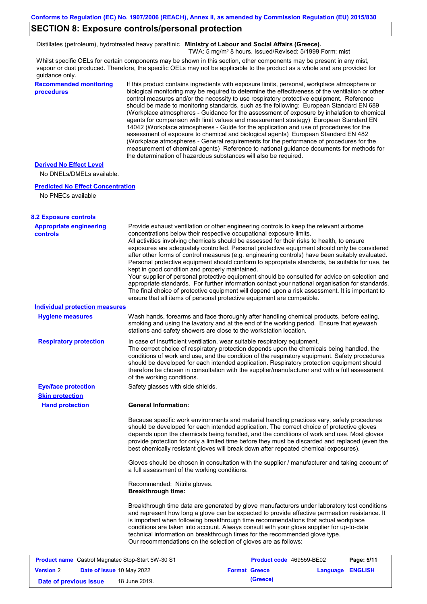### **SECTION 8: Exposure controls/personal protection**

Distillates (petroleum), hydrotreated heavy paraffinic **Ministry of Labour and Social Affairs (Greece).**

TWA: 5 mg/m<sup>3</sup> 8 hours. Issued/Revised: 5/1999 Form: mist

Whilst specific OELs for certain components may be shown in this section, other components may be present in any mist, vapour or dust produced. Therefore, the specific OELs may not be applicable to the product as a whole and are provided for guidance only.

#### **Recommended monitoring procedures**

If this product contains ingredients with exposure limits, personal, workplace atmosphere or biological monitoring may be required to determine the effectiveness of the ventilation or other control measures and/or the necessity to use respiratory protective equipment. Reference should be made to monitoring standards, such as the following: European Standard EN 689 (Workplace atmospheres - Guidance for the assessment of exposure by inhalation to chemical agents for comparison with limit values and measurement strategy) European Standard EN 14042 (Workplace atmospheres - Guide for the application and use of procedures for the assessment of exposure to chemical and biological agents) European Standard EN 482 (Workplace atmospheres - General requirements for the performance of procedures for the measurement of chemical agents) Reference to national guidance documents for methods for the determination of hazardous substances will also be required.

### **Derived No Effect Level**

No DNELs/DMELs available.

#### **Predicted No Effect Concentration**

No PNECs available

| <b>8.2 Exposure controls</b>                             |                                                           |                                                                                                                                                                                                                                                                                                                                                                                                                                                                                                                                                                                                                                                                                                                                                                                                                                                                                                                                                      |          |                |
|----------------------------------------------------------|-----------------------------------------------------------|------------------------------------------------------------------------------------------------------------------------------------------------------------------------------------------------------------------------------------------------------------------------------------------------------------------------------------------------------------------------------------------------------------------------------------------------------------------------------------------------------------------------------------------------------------------------------------------------------------------------------------------------------------------------------------------------------------------------------------------------------------------------------------------------------------------------------------------------------------------------------------------------------------------------------------------------------|----------|----------------|
| <b>Appropriate engineering</b><br><b>controls</b>        | kept in good condition and properly maintained.           | Provide exhaust ventilation or other engineering controls to keep the relevant airborne<br>concentrations below their respective occupational exposure limits.<br>All activities involving chemicals should be assessed for their risks to health, to ensure<br>exposures are adequately controlled. Personal protective equipment should only be considered<br>after other forms of control measures (e.g. engineering controls) have been suitably evaluated.<br>Personal protective equipment should conform to appropriate standards, be suitable for use, be<br>Your supplier of personal protective equipment should be consulted for advice on selection and<br>appropriate standards. For further information contact your national organisation for standards.<br>The final choice of protective equipment will depend upon a risk assessment. It is important to<br>ensure that all items of personal protective equipment are compatible. |          |                |
| Individual protection measures                           |                                                           |                                                                                                                                                                                                                                                                                                                                                                                                                                                                                                                                                                                                                                                                                                                                                                                                                                                                                                                                                      |          |                |
| <b>Hygiene measures</b>                                  |                                                           | Wash hands, forearms and face thoroughly after handling chemical products, before eating,<br>smoking and using the lavatory and at the end of the working period. Ensure that eyewash<br>stations and safety showers are close to the workstation location.                                                                                                                                                                                                                                                                                                                                                                                                                                                                                                                                                                                                                                                                                          |          |                |
| <b>Respiratory protection</b>                            | of the working conditions.                                | In case of insufficient ventilation, wear suitable respiratory equipment.<br>The correct choice of respiratory protection depends upon the chemicals being handled, the<br>conditions of work and use, and the condition of the respiratory equipment. Safety procedures<br>should be developed for each intended application. Respiratory protection equipment should<br>therefore be chosen in consultation with the supplier/manufacturer and with a full assessment                                                                                                                                                                                                                                                                                                                                                                                                                                                                              |          |                |
| <b>Eye/face protection</b>                               | Safety glasses with side shields.                         |                                                                                                                                                                                                                                                                                                                                                                                                                                                                                                                                                                                                                                                                                                                                                                                                                                                                                                                                                      |          |                |
| <b>Skin protection</b>                                   |                                                           |                                                                                                                                                                                                                                                                                                                                                                                                                                                                                                                                                                                                                                                                                                                                                                                                                                                                                                                                                      |          |                |
| <b>Hand protection</b>                                   | <b>General Information:</b>                               |                                                                                                                                                                                                                                                                                                                                                                                                                                                                                                                                                                                                                                                                                                                                                                                                                                                                                                                                                      |          |                |
|                                                          |                                                           | Because specific work environments and material handling practices vary, safety procedures<br>should be developed for each intended application. The correct choice of protective gloves<br>depends upon the chemicals being handled, and the conditions of work and use. Most gloves<br>provide protection for only a limited time before they must be discarded and replaced (even the<br>best chemically resistant gloves will break down after repeated chemical exposures).                                                                                                                                                                                                                                                                                                                                                                                                                                                                     |          |                |
|                                                          | a full assessment of the working conditions.              | Gloves should be chosen in consultation with the supplier / manufacturer and taking account of                                                                                                                                                                                                                                                                                                                                                                                                                                                                                                                                                                                                                                                                                                                                                                                                                                                       |          |                |
|                                                          | Recommended: Nitrile gloves.<br><b>Breakthrough time:</b> |                                                                                                                                                                                                                                                                                                                                                                                                                                                                                                                                                                                                                                                                                                                                                                                                                                                                                                                                                      |          |                |
|                                                          |                                                           | Breakthrough time data are generated by glove manufacturers under laboratory test conditions<br>and represent how long a glove can be expected to provide effective permeation resistance. It<br>is important when following breakthrough time recommendations that actual workplace<br>conditions are taken into account. Always consult with your glove supplier for up-to-date<br>technical information on breakthrough times for the recommended glove type.<br>Our recommendations on the selection of gloves are as follows:                                                                                                                                                                                                                                                                                                                                                                                                                   |          |                |
| <b>Product name</b> Castrol Magnatec Stop-Start 5W-30 S1 |                                                           | Product code 469559-BE02                                                                                                                                                                                                                                                                                                                                                                                                                                                                                                                                                                                                                                                                                                                                                                                                                                                                                                                             |          | Page: 5/11     |
| <b>Version 2</b><br>Date of issue 10 May 2022            |                                                           | <b>Format Greece</b>                                                                                                                                                                                                                                                                                                                                                                                                                                                                                                                                                                                                                                                                                                                                                                                                                                                                                                                                 | Language | <b>ENGLISH</b> |
| Date of previous issue                                   | 18 June 2019.                                             | (Greece)                                                                                                                                                                                                                                                                                                                                                                                                                                                                                                                                                                                                                                                                                                                                                                                                                                                                                                                                             |          |                |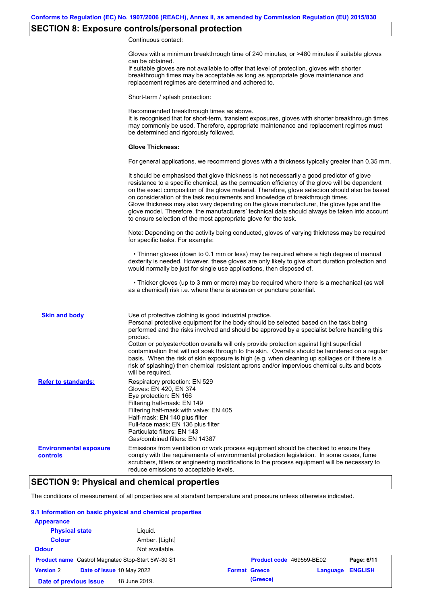## **SECTION 8: Exposure controls/personal protection**

Continuous contact:

|                                           | Gloves with a minimum breakthrough time of 240 minutes, or >480 minutes if suitable gloves<br>can be obtained.<br>If suitable gloves are not available to offer that level of protection, gloves with shorter<br>breakthrough times may be acceptable as long as appropriate glove maintenance and<br>replacement regimes are determined and adhered to.                                                                                                                                                                                                                                                                                                                              |
|-------------------------------------------|---------------------------------------------------------------------------------------------------------------------------------------------------------------------------------------------------------------------------------------------------------------------------------------------------------------------------------------------------------------------------------------------------------------------------------------------------------------------------------------------------------------------------------------------------------------------------------------------------------------------------------------------------------------------------------------|
|                                           | Short-term / splash protection:                                                                                                                                                                                                                                                                                                                                                                                                                                                                                                                                                                                                                                                       |
|                                           | Recommended breakthrough times as above.<br>It is recognised that for short-term, transient exposures, gloves with shorter breakthrough times<br>may commonly be used. Therefore, appropriate maintenance and replacement regimes must<br>be determined and rigorously followed.                                                                                                                                                                                                                                                                                                                                                                                                      |
|                                           | <b>Glove Thickness:</b>                                                                                                                                                                                                                                                                                                                                                                                                                                                                                                                                                                                                                                                               |
|                                           | For general applications, we recommend gloves with a thickness typically greater than 0.35 mm.                                                                                                                                                                                                                                                                                                                                                                                                                                                                                                                                                                                        |
|                                           | It should be emphasised that glove thickness is not necessarily a good predictor of glove<br>resistance to a specific chemical, as the permeation efficiency of the glove will be dependent<br>on the exact composition of the glove material. Therefore, glove selection should also be based<br>on consideration of the task requirements and knowledge of breakthrough times.<br>Glove thickness may also vary depending on the glove manufacturer, the glove type and the<br>glove model. Therefore, the manufacturers' technical data should always be taken into account<br>to ensure selection of the most appropriate glove for the task.                                     |
|                                           | Note: Depending on the activity being conducted, gloves of varying thickness may be required<br>for specific tasks. For example:                                                                                                                                                                                                                                                                                                                                                                                                                                                                                                                                                      |
|                                           | • Thinner gloves (down to 0.1 mm or less) may be required where a high degree of manual<br>dexterity is needed. However, these gloves are only likely to give short duration protection and<br>would normally be just for single use applications, then disposed of.                                                                                                                                                                                                                                                                                                                                                                                                                  |
|                                           | • Thicker gloves (up to 3 mm or more) may be required where there is a mechanical (as well<br>as a chemical) risk i.e. where there is abrasion or puncture potential.                                                                                                                                                                                                                                                                                                                                                                                                                                                                                                                 |
| <b>Skin and body</b>                      | Use of protective clothing is good industrial practice.<br>Personal protective equipment for the body should be selected based on the task being<br>performed and the risks involved and should be approved by a specialist before handling this<br>product.<br>Cotton or polyester/cotton overalls will only provide protection against light superficial<br>contamination that will not soak through to the skin. Overalls should be laundered on a regular<br>basis. When the risk of skin exposure is high (e.g. when cleaning up spillages or if there is a<br>risk of splashing) then chemical resistant aprons and/or impervious chemical suits and boots<br>will be required. |
| <b>Refer to standards:</b>                | Respiratory protection: EN 529<br>Gloves: EN 420, EN 374<br>Eye protection: EN 166<br>Filtering half-mask: EN 149<br>Filtering half-mask with valve: EN 405<br>Half-mask: EN 140 plus filter<br>Full-face mask: EN 136 plus filter<br>Particulate filters: EN 143<br>Gas/combined filters: EN 14387                                                                                                                                                                                                                                                                                                                                                                                   |
| <b>Environmental exposure</b><br>controls | Emissions from ventilation or work process equipment should be checked to ensure they<br>comply with the requirements of environmental protection legislation. In some cases, fume<br>scrubbers, filters or engineering modifications to the process equipment will be necessary to<br>reduce emissions to acceptable levels.                                                                                                                                                                                                                                                                                                                                                         |

## **SECTION 9: Physical and chemical properties**

The conditions of measurement of all properties are at standard temperature and pressure unless otherwise indicated.

### **9.1 Information on basic physical and chemical properties**

| <b>Appearance</b>                                        |                           |                      |          |                          |                |
|----------------------------------------------------------|---------------------------|----------------------|----------|--------------------------|----------------|
| <b>Physical state</b>                                    | Liguid.                   |                      |          |                          |                |
| <b>Colour</b>                                            | Amber. [Light]            |                      |          |                          |                |
| <b>Odour</b>                                             | Not available.            |                      |          |                          |                |
| <b>Product name</b> Castrol Magnatec Stop-Start 5W-30 S1 |                           |                      |          | Product code 469559-BE02 | Page: 6/11     |
| <b>Version 2</b>                                         | Date of issue 10 May 2022 | <b>Format Greece</b> |          | Language                 | <b>ENGLISH</b> |
| Date of previous issue                                   | 18 June 2019.             |                      | (Greece) |                          |                |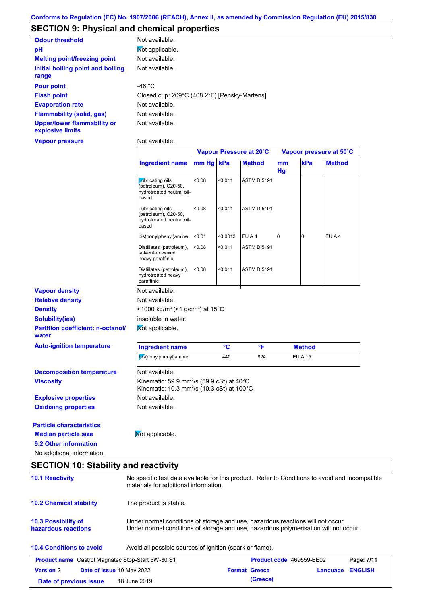## **SECTION 9: Physical and chemical properties**

| <b>Odour threshold</b>                                 | Not available.                               |
|--------------------------------------------------------|----------------------------------------------|
| pH                                                     | Mot applicable.                              |
| <b>Melting point/freezing point</b>                    | Not available.                               |
| Initial boiling point and boiling<br>range             | Not available.                               |
| <b>Pour point</b>                                      | $-46 °C$                                     |
| <b>Flash point</b>                                     | Closed cup: 209°C (408.2°F) [Pensky-Martens] |
| <b>Evaporation rate</b>                                | Not available.                               |
| <b>Flammability (solid, gas)</b>                       | Not available.                               |
| <b>Upper/lower flammability or</b><br>explosive limits | Not available.                               |

**Vapour pressure**

Not available.

|                                                   |                                                                                                                                          |           |          | Vapour Pressure at 20°C |          |                | Vapour pressure at 50°C |
|---------------------------------------------------|------------------------------------------------------------------------------------------------------------------------------------------|-----------|----------|-------------------------|----------|----------------|-------------------------|
|                                                   | Ingredient name                                                                                                                          | mm Hg kPa |          | <b>Method</b>           | mm<br>Hg | kPa            | <b>Method</b>           |
|                                                   | Labricating oils<br>(petroleum), C20-50,<br>hydrotreated neutral oil-<br>based                                                           | <0.08     | < 0.011  | <b>ASTM D 5191</b>      |          |                |                         |
|                                                   | Lubricating oils<br>(petroleum), C20-50,<br>hydrotreated neutral oil-<br>based                                                           | < 0.08    | < 0.011  | <b>ASTM D 5191</b>      |          |                |                         |
|                                                   | bis(nonylphenyl)amine                                                                                                                    | < 0.01    | < 0.0013 | EU A.4                  | 0        | 0              | EU A.4                  |
|                                                   | Distillates (petroleum),<br>solvent-dewaxed<br>heavy paraffinic                                                                          | < 0.08    | < 0.011  | <b>ASTM D 5191</b>      |          |                |                         |
|                                                   | Distillates (petroleum),<br>hydrotreated heavy<br>paraffinic                                                                             | < 0.08    | < 0.011  | <b>ASTM D 5191</b>      |          |                |                         |
| <b>Vapour density</b>                             | Not available.                                                                                                                           |           |          |                         |          |                |                         |
| <b>Relative density</b>                           | Not available.                                                                                                                           |           |          |                         |          |                |                         |
| <b>Density</b>                                    | <1000 kg/m <sup>3</sup> (<1 g/cm <sup>3</sup> ) at 15°C                                                                                  |           |          |                         |          |                |                         |
| <b>Solubility(ies)</b>                            | insoluble in water.                                                                                                                      |           |          |                         |          |                |                         |
| <b>Partition coefficient: n-octanol/</b><br>water | Not applicable.                                                                                                                          |           |          |                         |          |                |                         |
| <b>Auto-ignition temperature</b>                  | <b>Ingredient name</b>                                                                                                                   |           | °C       | °F                      |          | <b>Method</b>  |                         |
|                                                   | bis(nonylphenyl)amine                                                                                                                    |           | 440      | 824                     |          | <b>EU A.15</b> |                         |
| <b>Decomposition temperature</b>                  | Not available.                                                                                                                           |           |          |                         |          |                |                         |
| <b>Viscosity</b>                                  | Kinematic: 59.9 mm <sup>2</sup> /s (59.9 cSt) at 40°C<br>Kinematic: 10.3 mm <sup>2</sup> /s (10.3 cSt) at 100°C                          |           |          |                         |          |                |                         |
| <b>Explosive properties</b>                       | Not available.                                                                                                                           |           |          |                         |          |                |                         |
| <b>Oxidising properties</b>                       | Not available.                                                                                                                           |           |          |                         |          |                |                         |
| <b>Particle characteristics</b>                   |                                                                                                                                          |           |          |                         |          |                |                         |
| <b>Median particle size</b>                       | Mot applicable.                                                                                                                          |           |          |                         |          |                |                         |
| 9.2 Other information                             |                                                                                                                                          |           |          |                         |          |                |                         |
| No additional information.                        |                                                                                                                                          |           |          |                         |          |                |                         |
| <b>SECTION 10: Stability and reactivity</b>       |                                                                                                                                          |           |          |                         |          |                |                         |
| <b>10.1 Reactivity</b>                            | No specific test data available for this product. Refer to Conditions to avoid and Incompatible<br>materials for additional information. |           |          |                         |          |                |                         |
| <b>10.2 Chemical stability</b>                    | The product is stable.                                                                                                                   |           |          |                         |          |                |                         |

| 10.3 Possibility of | Under normal conditions of storage and use, hazardous reactions will not occur.      |
|---------------------|--------------------------------------------------------------------------------------|
| hazardous reactions | Under normal conditions of storage and use, hazardous polymerisation will not occur. |

### **10.4 Conditions to avoid** Avoid all possible sources of ignition (spark or flame).

|                        | <b>Product name</b> Castrol Magnatec Stop-Start 5W-30 S1 | <b>Product code</b> 469559-BE02 |                  | Page: 7/11 |
|------------------------|----------------------------------------------------------|---------------------------------|------------------|------------|
| <b>Version 2</b>       | <b>Date of issue 10 May 2022</b>                         | <b>Format Greece</b>            | Language ENGLISH |            |
| Date of previous issue | 18 June 2019.                                            | (Greece)                        |                  |            |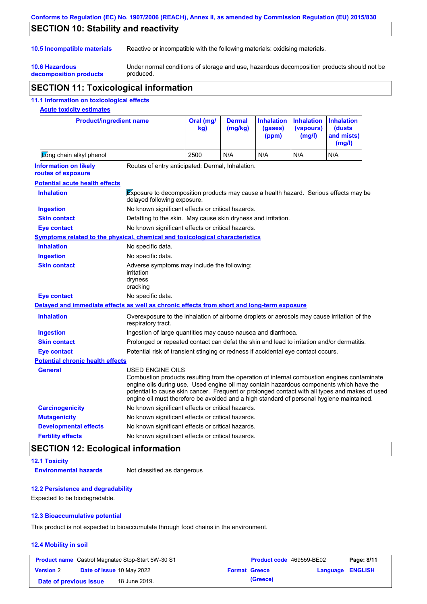### **Conforms to Regulation (EC) No. 1907/2006 (REACH), Annex II, as amended by Commission Regulation (EU) 2015/830**

## **SECTION 10: Stability and reactivity**

**10.6 Hazardous** 

**10.5 Incompatible materials** Reactive or incompatible with the following materials: oxidising materials.

**decomposition products** Under normal conditions of storage and use, hazardous decomposition products should not be produced.

## **SECTION 11: Toxicological information**

### **11.1 Information on toxicological effects**

### **Acute toxicity estimates**

| <b>Product/ingredient name</b>                                                             |                                                                                                                            | Oral (mg/<br>kg) | <b>Dermal</b><br>(mg/kg) | <b>Inhalation</b><br>(gases)<br>(ppm) | <b>Inhalation</b><br>(vapours)<br>(mg/l) | <b>Inhalation</b><br>(dusts<br>and mists)<br>(mg/l)                                                                                                                                                                                                                                      |
|--------------------------------------------------------------------------------------------|----------------------------------------------------------------------------------------------------------------------------|------------------|--------------------------|---------------------------------------|------------------------------------------|------------------------------------------------------------------------------------------------------------------------------------------------------------------------------------------------------------------------------------------------------------------------------------------|
| Long chain alkyl phenol                                                                    |                                                                                                                            | 2500             | N/A                      | N/A                                   | N/A                                      | N/A                                                                                                                                                                                                                                                                                      |
| <b>Information on likely</b><br>routes of exposure                                         | Routes of entry anticipated: Dermal, Inhalation.                                                                           |                  |                          |                                       |                                          |                                                                                                                                                                                                                                                                                          |
| <b>Potential acute health effects</b>                                                      |                                                                                                                            |                  |                          |                                       |                                          |                                                                                                                                                                                                                                                                                          |
| <b>Inhalation</b>                                                                          | <b>Exposure to decomposition products may cause a health hazard.</b> Serious effects may be<br>delayed following exposure. |                  |                          |                                       |                                          |                                                                                                                                                                                                                                                                                          |
| <b>Ingestion</b>                                                                           | No known significant effects or critical hazards.                                                                          |                  |                          |                                       |                                          |                                                                                                                                                                                                                                                                                          |
| <b>Skin contact</b>                                                                        | Defatting to the skin. May cause skin dryness and irritation.                                                              |                  |                          |                                       |                                          |                                                                                                                                                                                                                                                                                          |
| <b>Eye contact</b>                                                                         | No known significant effects or critical hazards.                                                                          |                  |                          |                                       |                                          |                                                                                                                                                                                                                                                                                          |
| Symptoms related to the physical, chemical and toxicological characteristics               |                                                                                                                            |                  |                          |                                       |                                          |                                                                                                                                                                                                                                                                                          |
| <b>Inhalation</b>                                                                          | No specific data.                                                                                                          |                  |                          |                                       |                                          |                                                                                                                                                                                                                                                                                          |
| <b>Ingestion</b>                                                                           | No specific data.                                                                                                          |                  |                          |                                       |                                          |                                                                                                                                                                                                                                                                                          |
| <b>Skin contact</b>                                                                        | Adverse symptoms may include the following:<br>irritation<br>dryness<br>cracking                                           |                  |                          |                                       |                                          |                                                                                                                                                                                                                                                                                          |
| <b>Eye contact</b>                                                                         | No specific data.                                                                                                          |                  |                          |                                       |                                          |                                                                                                                                                                                                                                                                                          |
| Delayed and immediate effects as well as chronic effects from short and long-term exposure |                                                                                                                            |                  |                          |                                       |                                          |                                                                                                                                                                                                                                                                                          |
| <b>Inhalation</b>                                                                          | Overexposure to the inhalation of airborne droplets or aerosols may cause irritation of the<br>respiratory tract.          |                  |                          |                                       |                                          |                                                                                                                                                                                                                                                                                          |
| <b>Ingestion</b>                                                                           | Ingestion of large quantities may cause nausea and diarrhoea.                                                              |                  |                          |                                       |                                          |                                                                                                                                                                                                                                                                                          |
| <b>Skin contact</b>                                                                        | Prolonged or repeated contact can defat the skin and lead to irritation and/or dermatitis.                                 |                  |                          |                                       |                                          |                                                                                                                                                                                                                                                                                          |
| <b>Eye contact</b>                                                                         | Potential risk of transient stinging or redness if accidental eye contact occurs.                                          |                  |                          |                                       |                                          |                                                                                                                                                                                                                                                                                          |
| <b>Potential chronic health effects</b>                                                    |                                                                                                                            |                  |                          |                                       |                                          |                                                                                                                                                                                                                                                                                          |
| <b>General</b>                                                                             | <b>USED ENGINE OILS</b><br>engine oil must therefore be avoided and a high standard of personal hygiene maintained.        |                  |                          |                                       |                                          | Combustion products resulting from the operation of internal combustion engines contaminate<br>engine oils during use. Used engine oil may contain hazardous components which have the<br>potential to cause skin cancer. Frequent or prolonged contact with all types and makes of used |
| <b>Carcinogenicity</b>                                                                     | No known significant effects or critical hazards.                                                                          |                  |                          |                                       |                                          |                                                                                                                                                                                                                                                                                          |
| <b>Mutagenicity</b>                                                                        | No known significant effects or critical hazards.                                                                          |                  |                          |                                       |                                          |                                                                                                                                                                                                                                                                                          |
| <b>Developmental effects</b>                                                               | No known significant effects or critical hazards.                                                                          |                  |                          |                                       |                                          |                                                                                                                                                                                                                                                                                          |
| <b>Fertility effects</b>                                                                   | No known significant effects or critical hazards.                                                                          |                  |                          |                                       |                                          |                                                                                                                                                                                                                                                                                          |

## **SECTION 12: Ecological information**

**12.1 Toxicity**

**Environmental hazards** Not classified as dangerous

#### **12.2 Persistence and degradability**

Expected to be biodegradable.

### **12.3 Bioaccumulative potential**

This product is not expected to bioaccumulate through food chains in the environment.

#### **12.4 Mobility in soil**

|                        | <b>Product name</b> Castrol Magnatec Stop-Start 5W-30 S1 | <b>Product code</b> 469559-BE02 |                         | Page: 8/11 |
|------------------------|----------------------------------------------------------|---------------------------------|-------------------------|------------|
| <b>Version 2</b>       | <b>Date of issue 10 May 2022</b>                         | <b>Format Greece</b>            | <b>Language ENGLISH</b> |            |
| Date of previous issue | 18 June 2019.                                            | (Greece)                        |                         |            |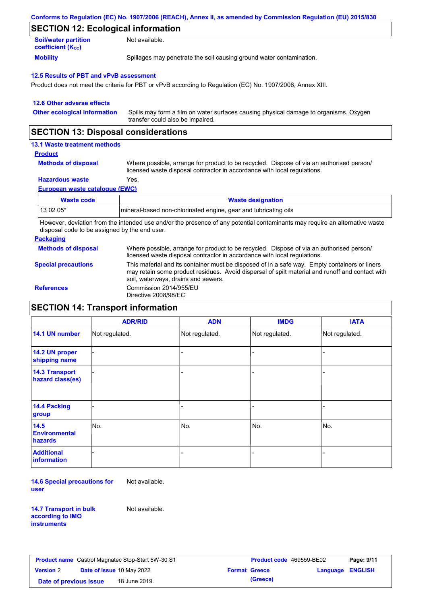| Conforms to Regulation (EC) No. 1907/2006 (REACH), Annex II, as amended by Commission Regulation (EU) 2015/830 |  |
|----------------------------------------------------------------------------------------------------------------|--|
|----------------------------------------------------------------------------------------------------------------|--|

### **SECTION 12: Ecological information**

| <b>Soil/water partition</b>           | Not available.                                                       |
|---------------------------------------|----------------------------------------------------------------------|
| <b>coefficient</b> (K <sub>oc</sub> ) |                                                                      |
| <b>Mobility</b>                       | Spillages may penetrate the soil causing ground water contamination. |

#### **12.5 Results of PBT and vPvB assessment**

Product does not meet the criteria for PBT or vPvB according to Regulation (EC) No. 1907/2006, Annex XIII.

| 12.6 Other adverse effects          |                                                                                                                           |
|-------------------------------------|---------------------------------------------------------------------------------------------------------------------------|
| <b>Other ecological information</b> | Spills may form a film on water surfaces causing physical damage to organisms. Oxygen<br>transfer could also be impaired. |

### **SECTION 13: Disposal considerations**

### **13.1 Waste treatment methods**

#### **Product**

**Methods of disposal**

Where possible, arrange for product to be recycled. Dispose of via an authorised person/ licensed waste disposal contractor in accordance with local regulations.

### **Hazardous waste** Yes.

**European waste catalogue (EWC)**

| <b>Waste code</b> | <b>Waste designation</b>                                        |
|-------------------|-----------------------------------------------------------------|
| 13 02 05*         | mineral-based non-chlorinated engine, gear and lubricating oils |

However, deviation from the intended use and/or the presence of any potential contaminants may require an alternative waste disposal code to be assigned by the end user.

#### **Packaging**

**Methods of disposal** Where possible, arrange for product to be recycled. Dispose of via an authorised person/ licensed waste disposal contractor in accordance with local regulations.

**Special precautions**

This material and its container must be disposed of in a safe way. Empty containers or liners

may retain some product residues. Avoid dispersal of spilt material and runoff and contact with soil, waterways, drains and sewers. **References** Commission 2014/955/EU Directive 2008/98/EC

### **SECTION 14: Transport information**

|                                           | <b>ADR/RID</b> | <b>ADN</b>     | <b>IMDG</b>    | <b>IATA</b>    |  |
|-------------------------------------------|----------------|----------------|----------------|----------------|--|
| 14.1 UN number                            | Not regulated. | Not regulated. | Not regulated. | Not regulated. |  |
| 14.2 UN proper<br>shipping name           |                |                |                |                |  |
| <b>14.3 Transport</b><br>hazard class(es) |                |                | -              |                |  |
| 14.4 Packing<br>group                     |                |                | -              |                |  |
| 14.5<br><b>Environmental</b><br>hazards   | No.            | No.            | No.            | No.            |  |
| <b>Additional</b><br>information          |                |                | $\blacksquare$ |                |  |

**14.6 Special precautions for user** Not available.

**14.7 Transport in bulk according to IMO instruments**

Not available.

| <b>Product name</b> Castrol Magnatec Stop-Start 5W-30 S1 |  |               | <b>Product code</b> 469559-BE02 |                         | Page: 9/11 |  |
|----------------------------------------------------------|--|---------------|---------------------------------|-------------------------|------------|--|
| <b>Date of issue 10 May 2022</b><br><b>Version 2</b>     |  |               | <b>Format Greece</b>            | <b>Language ENGLISH</b> |            |  |
| Date of previous issue                                   |  | 18 June 2019. |                                 | (Greece)                |            |  |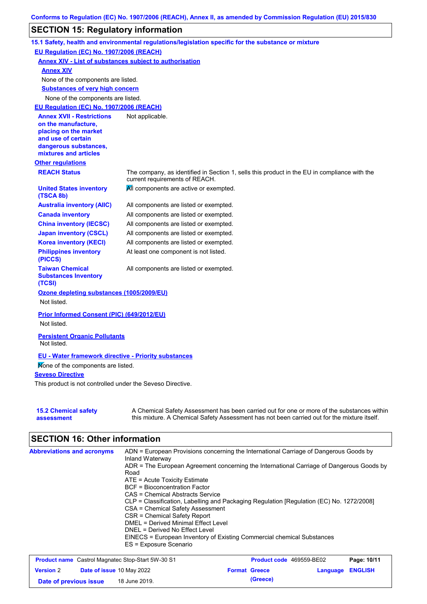## **SECTION 15: Regulatory information**

|                                                                                                                                                          | 15.1 Safety, health and environmental regulations/legislation specific for the substance or mixture                                                                                       |
|----------------------------------------------------------------------------------------------------------------------------------------------------------|-------------------------------------------------------------------------------------------------------------------------------------------------------------------------------------------|
| EU Regulation (EC) No. 1907/2006 (REACH)                                                                                                                 |                                                                                                                                                                                           |
|                                                                                                                                                          | <b>Annex XIV - List of substances subject to authorisation</b>                                                                                                                            |
| <b>Annex XIV</b>                                                                                                                                         |                                                                                                                                                                                           |
| None of the components are listed.                                                                                                                       |                                                                                                                                                                                           |
| <b>Substances of very high concern</b>                                                                                                                   |                                                                                                                                                                                           |
| None of the components are listed.                                                                                                                       |                                                                                                                                                                                           |
| EU Regulation (EC) No. 1907/2006 (REACH)                                                                                                                 |                                                                                                                                                                                           |
| <b>Annex XVII - Restrictions</b><br>on the manufacture,<br>placing on the market<br>and use of certain<br>dangerous substances,<br>mixtures and articles | Not applicable.                                                                                                                                                                           |
| <b>Other regulations</b>                                                                                                                                 |                                                                                                                                                                                           |
| <b>REACH Status</b>                                                                                                                                      | The company, as identified in Section 1, sells this product in the EU in compliance with the<br>current requirements of REACH.                                                            |
| <b>United States inventory</b><br>(TSCA 8b)                                                                                                              | All components are active or exempted.                                                                                                                                                    |
| <b>Australia inventory (AIIC)</b>                                                                                                                        | All components are listed or exempted.                                                                                                                                                    |
| <b>Canada inventory</b>                                                                                                                                  | All components are listed or exempted.                                                                                                                                                    |
| <b>China inventory (IECSC)</b>                                                                                                                           | All components are listed or exempted.                                                                                                                                                    |
| <b>Japan inventory (CSCL)</b>                                                                                                                            | All components are listed or exempted.                                                                                                                                                    |
| <b>Korea inventory (KECI)</b>                                                                                                                            | All components are listed or exempted.                                                                                                                                                    |
| <b>Philippines inventory</b><br>(PICCS)                                                                                                                  | At least one component is not listed.                                                                                                                                                     |
| <b>Taiwan Chemical</b><br><b>Substances Inventory</b><br>(TCSI)                                                                                          | All components are listed or exempted.                                                                                                                                                    |
| Ozone depleting substances (1005/2009/EU)                                                                                                                |                                                                                                                                                                                           |
| Not listed.                                                                                                                                              |                                                                                                                                                                                           |
| Prior Informed Consent (PIC) (649/2012/EU)<br>Not listed.                                                                                                |                                                                                                                                                                                           |
| <b>Persistent Organic Pollutants</b><br>Not listed.                                                                                                      |                                                                                                                                                                                           |
| <b>EU - Water framework directive - Priority substances</b>                                                                                              |                                                                                                                                                                                           |
| Mone of the components are listed.                                                                                                                       |                                                                                                                                                                                           |
| <b>Seveso Directive</b>                                                                                                                                  |                                                                                                                                                                                           |
| This product is not controlled under the Seveso Directive.                                                                                               |                                                                                                                                                                                           |
|                                                                                                                                                          |                                                                                                                                                                                           |
| <b>15.2 Chemical safety</b><br>assessment                                                                                                                | A Chemical Safety Assessment has been carried out for one or more of the substances within<br>this mixture. A Chemical Safety Assessment has not been carried out for the mixture itself. |

# **SECTION 16: Other information**

| <b>Abbreviations and acronyms</b> | ADN = European Provisions concerning the International Carriage of Dangerous Goods by    |
|-----------------------------------|------------------------------------------------------------------------------------------|
|                                   | Inland Waterway                                                                          |
|                                   | ADR = The European Agreement concerning the International Carriage of Dangerous Goods by |
|                                   | Road                                                                                     |
|                                   | $ATE = Acute Toxicity Estimate$                                                          |
|                                   | <b>BCF</b> = Bioconcentration Factor                                                     |
|                                   | CAS = Chemical Abstracts Service                                                         |
|                                   | CLP = Classification, Labelling and Packaging Regulation [Regulation (EC) No. 1272/2008] |
|                                   | CSA = Chemical Safety Assessment                                                         |
|                                   | CSR = Chemical Safety Report                                                             |
|                                   | <b>DMEL = Derived Minimal Effect Level</b>                                               |
|                                   | DNEL = Derived No Effect Level                                                           |
|                                   | EINECS = European Inventory of Existing Commercial chemical Substances                   |
|                                   | ES = Exposure Scenario                                                                   |
|                                   |                                                                                          |

| <b>Product name</b> Castrol Magnatec Stop-Start 5W-30 S1 |  | <b>Product code</b> 469559-BE02  |  | Page: 10/11          |                         |  |
|----------------------------------------------------------|--|----------------------------------|--|----------------------|-------------------------|--|
| <b>Version 2</b>                                         |  | <b>Date of issue 10 May 2022</b> |  | <b>Format Greece</b> | <b>Language ENGLISH</b> |  |
| Date of previous issue                                   |  | 18 June 2019.                    |  | (Greece)             |                         |  |